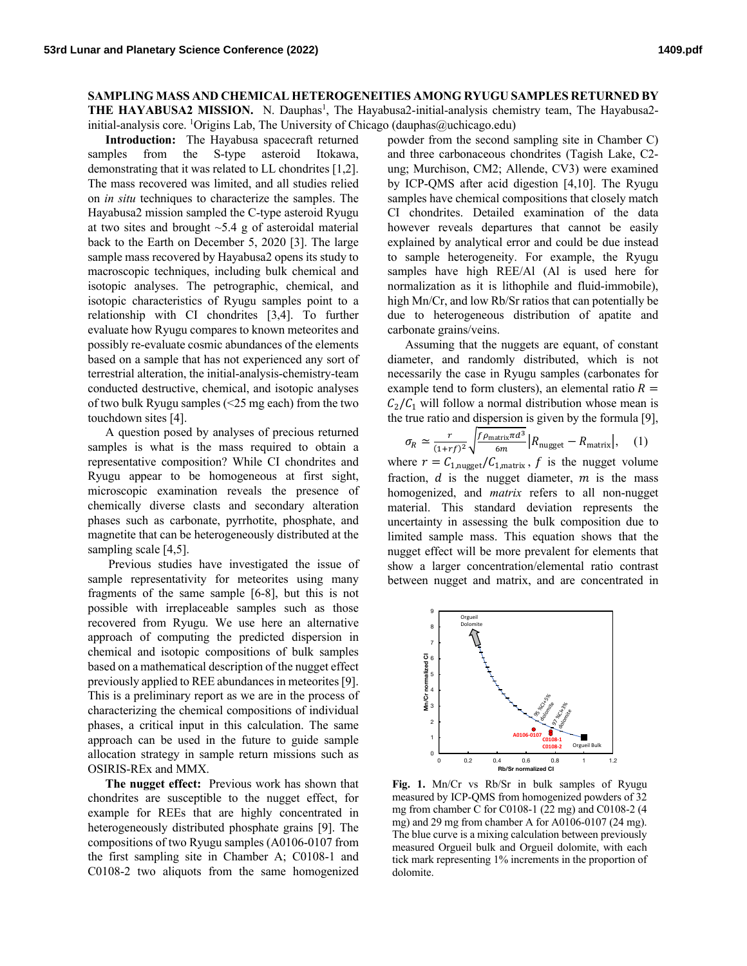## **SAMPLING MASS AND CHEMICAL HETEROGENEITIES AMONG RYUGU SAMPLES RETURNED BY**

THE HAYABUSA2 MISSION. N. Dauphas<sup>1</sup>, The Hayabusa2-initial-analysis chemistry team, The Hayabusa2initial-analysis core. <sup>1</sup>Origins Lab, The University of Chicago (dauphas@uchicago.edu)

**Introduction:** The Hayabusa spacecraft returned samples from the S-type asteroid Itokawa, demonstrating that it was related to LL chondrites [1,2]. The mass recovered was limited, and all studies relied on *in situ* techniques to characterize the samples. The Hayabusa2 mission sampled the C-type asteroid Ryugu at two sites and brought  $\sim$  5.4 g of asteroidal material back to the Earth on December 5, 2020 [3]. The large sample mass recovered by Hayabusa2 opens its study to macroscopic techniques, including bulk chemical and isotopic analyses. The petrographic, chemical, and isotopic characteristics of Ryugu samples point to a relationship with CI chondrites [3,4]. To further evaluate how Ryugu compares to known meteorites and possibly re-evaluate cosmic abundances of the elements based on a sample that has not experienced any sort of terrestrial alteration, the initial-analysis-chemistry-team conducted destructive, chemical, and isotopic analyses of two bulk Ryugu samples (<25 mg each) from the two touchdown sites [4].

A question posed by analyses of precious returned samples is what is the mass required to obtain a representative composition? While CI chondrites and Ryugu appear to be homogeneous at first sight, microscopic examination reveals the presence of chemically diverse clasts and secondary alteration phases such as carbonate, pyrrhotite, phosphate, and magnetite that can be heterogeneously distributed at the sampling scale [4,5].

Previous studies have investigated the issue of sample representativity for meteorites using many fragments of the same sample [6-8], but this is not possible with irreplaceable samples such as those recovered from Ryugu. We use here an alternative approach of computing the predicted dispersion in chemical and isotopic compositions of bulk samples based on a mathematical description of the nugget effect previously applied to REE abundances in meteorites[9]. This is a preliminary report as we are in the process of characterizing the chemical compositions of individual phases, a critical input in this calculation. The same approach can be used in the future to guide sample allocation strategy in sample return missions such as OSIRIS-REx and MMX.

**The nugget effect:** Previous work has shown that chondrites are susceptible to the nugget effect, for example for REEs that are highly concentrated in heterogeneously distributed phosphate grains [9]. The compositions of two Ryugu samples (A0106-0107 from the first sampling site in Chamber A; C0108-1 and C0108-2 two aliquots from the same homogenized

powder from the second sampling site in Chamber C) and three carbonaceous chondrites (Tagish Lake, C2 ung; Murchison, CM2; Allende, CV3) were examined by ICP-QMS after acid digestion [4,10]. The Ryugu samples have chemical compositions that closely match CI chondrites. Detailed examination of the data however reveals departures that cannot be easily explained by analytical error and could be due instead to sample heterogeneity. For example, the Ryugu samples have high REE/Al (Al is used here for normalization as it is lithophile and fluid-immobile), high Mn/Cr, and low Rb/Sr ratios that can potentially be due to heterogeneous distribution of apatite and carbonate grains/veins.

Assuming that the nuggets are equant, of constant diameter, and randomly distributed, which is not necessarily the case in Ryugu samples (carbonates for example tend to form clusters), an elemental ratio  $R =$  $C_2/C_1$  will follow a normal distribution whose mean is the true ratio and dispersion is given by the formula [9],

$$
\sigma_R \simeq \frac{r}{(1+r\,)^2} \sqrt{\frac{f \rho_{\text{matrix}} \pi a^3}{6m}} \left| R_{\text{nugget}} - R_{\text{matrix}} \right|, \quad (1)
$$

where  $r = C_{1,\text{nugget}}/C_{1,\text{matrix}}$ , f is the nugget volume fraction,  $d$  is the nugget diameter,  $m$  is the mass homogenized, and *matrix* refers to all non-nugget material. This standard deviation represents the uncertainty in assessing the bulk composition due to limited sample mass. This equation shows that the nugget effect will be more prevalent for elements that show a larger concentration/elemental ratio contrast between nugget and matrix, and are concentrated in



 **Fig. 1.** Mn/Cr vs Rb/Sr in bulk samples of Ryugu measured by ICP-QMS from homogenized powders of 32 mg from chamber C for C0108-1 (22 mg) and C0108-2 (4 mg) and 29 mg from chamber A for A0106-0107 (24 mg). The blue curve is a mixing calculation between previously measured Orgueil bulk and Orgueil dolomite, with each tick mark representing 1% increments in the proportion of dolomite.